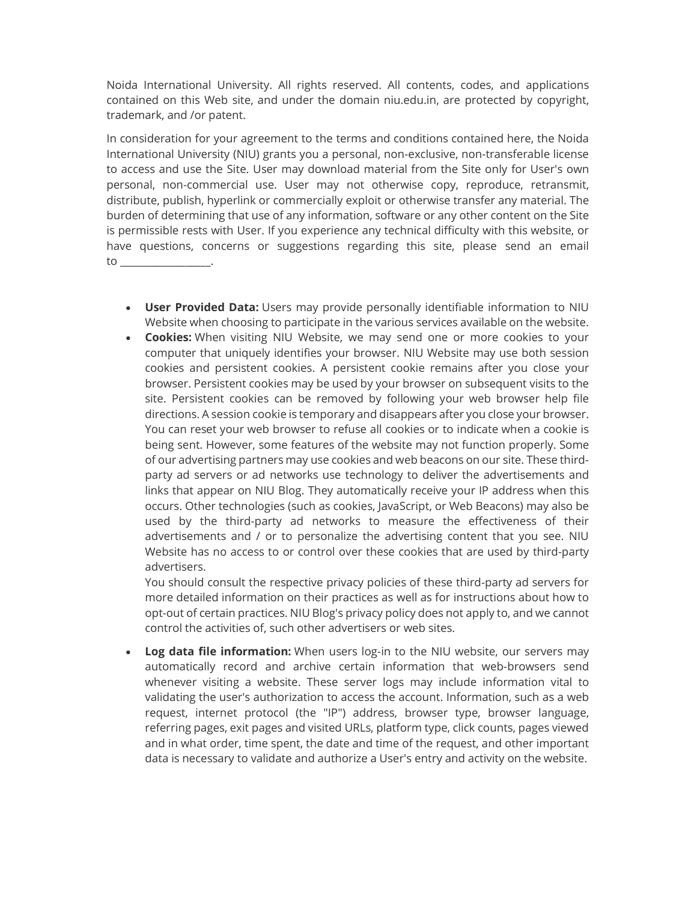Noida International University. All rights reserved. All contents, codes, and applications contained on this Web site, and under the domain niu.edu.in, are protected by copyright, trademark, and /or patent.

In consideration for your agreement to the terms and conditions contained here, the Noida International University (NIU) grants you a personal, non-exclusive, non-transferable license to access and use the Site. User may download material from the Site only for User's own personal, non-commercial use. User may not otherwise copy, reproduce, retransmit, distribute, publish, hyperlink or commercially exploit or otherwise transfer any material. The burden of determining that use of any information, software or any other content on the Site is permissible rests with User. If you experience any technical difficulty with this website, or have questions, concerns or suggestions regarding this site, please send an email to \_\_\_\_\_\_\_\_\_\_\_\_\_\_\_\_\_\_.

- User Provided Data: Users may provide personally identifiable information to NIU Website when choosing to participate in the various services available on the website.
- Cookies: When visiting NIU Website, we may send one or more cookies to your computer that uniquely identifies your browser. NIU Website may use both session cookies and persistent cookies. A persistent cookie remains after you close your browser. Persistent cookies may be used by your browser on subsequent visits to the site. Persistent cookies can be removed by following your web browser help file directions. A session cookie is temporary and disappears after you close your browser. You can reset your web browser to refuse all cookies or to indicate when a cookie is being sent. However, some features of the website may not function properly. Some of our advertising partners may use cookies and web beacons on our site. These thirdparty ad servers or ad networks use technology to deliver the advertisements and links that appear on NIU Blog. They automatically receive your IP address when this occurs. Other technologies (such as cookies, JavaScript, or Web Beacons) may also be used by the third-party ad networks to measure the effectiveness of their advertisements and / or to personalize the advertising content that you see. NIU Website has no access to or control over these cookies that are used by third-party advertisers.

You should consult the respective privacy policies of these third-party ad servers for more detailed information on their practices as well as for instructions about how to opt-out of certain practices. NIU Blog's privacy policy does not apply to, and we cannot control the activities of, such other advertisers or web sites.

• Log data file information: When users log-in to the NIU website, our servers may automatically record and archive certain information that web-browsers send whenever visiting a website. These server logs may include information vital to validating the user's authorization to access the account. Information, such as a web request, internet protocol (the "IP") address, browser type, browser language, referring pages, exit pages and visited URLs, platform type, click counts, pages viewed and in what order, time spent, the date and time of the request, and other important data is necessary to validate and authorize a User's entry and activity on the website.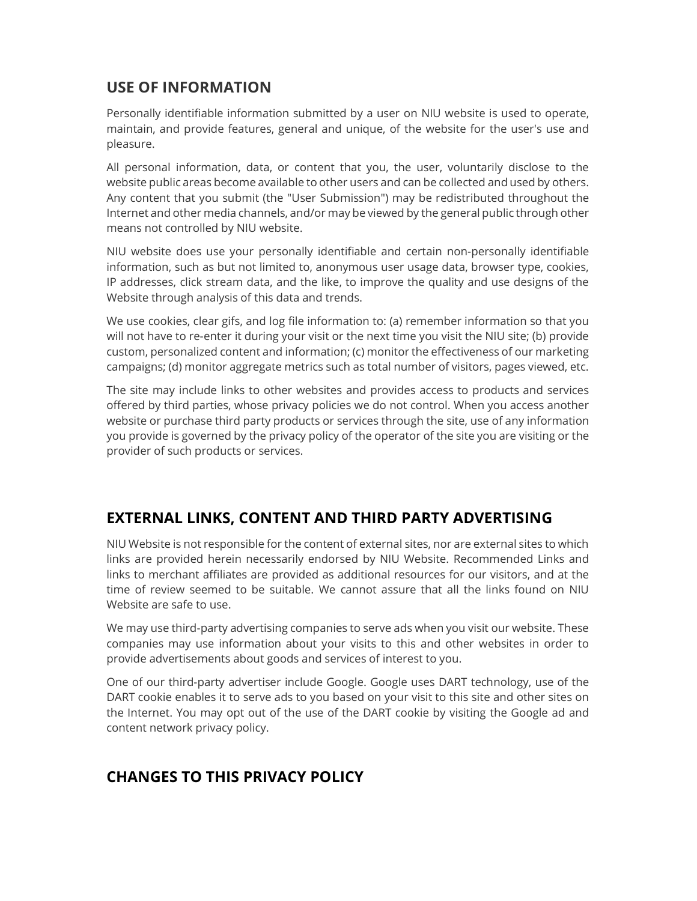## USE OF INFORMATION

Personally identifiable information submitted by a user on NIU website is used to operate, maintain, and provide features, general and unique, of the website for the user's use and pleasure.

All personal information, data, or content that you, the user, voluntarily disclose to the website public areas become available to other users and can be collected and used by others. Any content that you submit (the "User Submission") may be redistributed throughout the Internet and other media channels, and/or may be viewed by the general public through other means not controlled by NIU website.

NIU website does use your personally identifiable and certain non-personally identifiable information, such as but not limited to, anonymous user usage data, browser type, cookies, IP addresses, click stream data, and the like, to improve the quality and use designs of the Website through analysis of this data and trends.

We use cookies, clear gifs, and log file information to: (a) remember information so that you will not have to re-enter it during your visit or the next time you visit the NIU site; (b) provide custom, personalized content and information; (c) monitor the effectiveness of our marketing campaigns; (d) monitor aggregate metrics such as total number of visitors, pages viewed, etc.

The site may include links to other websites and provides access to products and services offered by third parties, whose privacy policies we do not control. When you access another website or purchase third party products or services through the site, use of any information you provide is governed by the privacy policy of the operator of the site you are visiting or the provider of such products or services.

## EXTERNAL LINKS, CONTENT AND THIRD PARTY ADVERTISING

NIU Website is not responsible for the content of external sites, nor are external sites to which links are provided herein necessarily endorsed by NIU Website. Recommended Links and links to merchant affiliates are provided as additional resources for our visitors, and at the time of review seemed to be suitable. We cannot assure that all the links found on NIU Website are safe to use.

We may use third-party advertising companies to serve ads when you visit our website. These companies may use information about your visits to this and other websites in order to provide advertisements about goods and services of interest to you.

One of our third-party advertiser include Google. Google uses DART technology, use of the DART cookie enables it to serve ads to you based on your visit to this site and other sites on the Internet. You may opt out of the use of the DART cookie by visiting the Google ad and content network privacy policy.

## CHANGES TO THIS PRIVACY POLICY